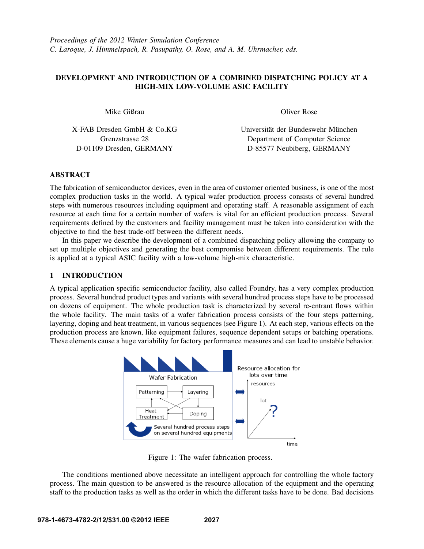# DEVELOPMENT AND INTRODUCTION OF A COMBINED DISPATCHING POLICY AT A HIGH-MIX LOW-VOLUME ASIC FACILITY

Mike Gißrau

X-FAB Dresden GmbH & Co.KG Grenzstrasse 28 D-01109 Dresden, GERMANY

Oliver Rose

Universität der Bundeswehr München Department of Computer Science D-85577 Neubiberg, GERMANY

# ABSTRACT

The fabrication of semiconductor devices, even in the area of customer oriented business, is one of the most complex production tasks in the world. A typical wafer production process consists of several hundred steps with numerous resources including equipment and operating staff. A reasonable assignment of each resource at each time for a certain number of wafers is vital for an efficient production process. Several requirements defined by the customers and facility management must be taken into consideration with the objective to find the best trade-off between the different needs.

In this paper we describe the development of a combined dispatching policy allowing the company to set up multiple objectives and generating the best compromise between different requirements. The rule is applied at a typical ASIC facility with a low-volume high-mix characteristic.

# 1 INTRODUCTION

A typical application specific semiconductor facility, also called Foundry, has a very complex production process. Several hundred product types and variants with several hundred process steps have to be processed on dozens of equipment. The whole production task is characterized by several re-entrant flows within the whole facility. The main tasks of a wafer fabrication process consists of the four steps patterning, layering, doping and heat treatment, in various sequences (see Figure 1). At each step, various effects on the production process are known, like equipment failures, sequence dependent setups or batching operations. These elements cause a huge variability for factory performance measures and can lead to unstable behavior.



Figure 1: The wafer fabrication process.

The conditions mentioned above necessitate an intelligent approach for controlling the whole factory process. The main question to be answered is the resource allocation of the equipment and the operating staff to the production tasks as well as the order in which the different tasks have to be done. Bad decisions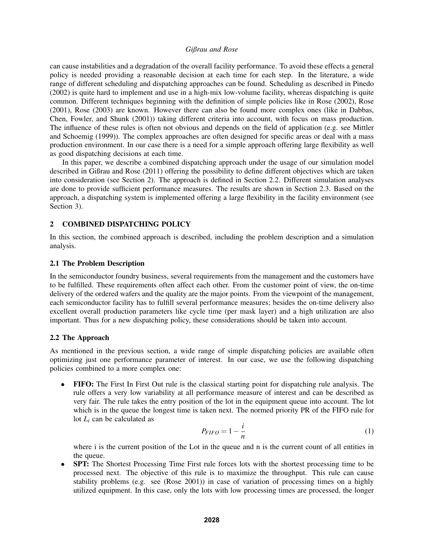can cause instabilities and a degradation of the overall facility performance. To avoid these effects a general policy is needed providing a reasonable decision at each time for each step. In the literature, a wide range of different scheduling and dispatching approaches can be found. Scheduling as described in Pinedo (2002) is quite hard to implement and use in a high-mix low-volume facility, whereas dispatching is quite common. Different techniques beginning with the definition of simple policies like in Rose (2002), Rose (2001), Rose (2003) are known. However there can also be found more complex ones (like in Dabbas, Chen, Fowler, and Shunk (2001)) taking different criteria into account, with focus on mass production. The influence of these rules is often not obvious and depends on the field of application (e.g. see Mittler and Schoemig (1999)). The complex approaches are often designed for specific areas or deal with a mass production environment. In our case there is a need for a simple approach offering large flexibility as well as good dispatching decisions at each time.

In this paper, we describe a combined dispatching approach under the usage of our simulation model described in Gißrau and Rose (2011) offering the possibility to define different objectives which are taken into consideration (see Section 2). The approach is defined in Section 2.2. Different simulation analyses are done to provide sufficient performance measures. The results are shown in Section 2.3. Based on the approach, a dispatching system is implemented offering a large flexibility in the facility environment (see Section 3).

### 2 COMBINED DISPATCHING POLICY

In this section, the combined approach is described, including the problem description and a simulation analysis.

#### 2.1 The Problem Description

In the semiconductor foundry business, several requirements from the management and the customers have to be fulfilled. These requirements often affect each other. From the customer point of view, the on-time delivery of the ordered wafers and the quality are the major points. From the viewpoint of the management, each semiconductor facility has to fulfill several performance measures; besides the on-time delivery also excellent overall production parameters like cycle time (per mask layer) and a high utilization are also important. Thus for a new dispatching policy, these considerations should be taken into account.

#### 2.2 The Approach

As mentioned in the previous section, a wide range of simple dispatching policies are available often optimizing just one performance parameter of interest. In our case, we use the following dispatching policies combined to a more complex one:

• FIFO: The First In First Out rule is the classical starting point for dispatching rule analysis. The rule offers a very low variability at all performance measure of interest and can be described as very fair. The rule takes the entry position of the lot in the equipment queue into account. The lot which is in the queue the longest time is taken next. The normed priority PR of the FIFO rule for lot *L<sup>i</sup>* can be calculated as

$$
P_{FIFO} = 1 - \frac{i}{n} \tag{1}
$$

where i is the current position of the Lot in the queue and n is the current count of all entities in the queue.

• SPT: The Shortest Processing Time First rule forces lots with the shortest processing time to be processed next. The objective of this rule is to maximize the throughput. This rule can cause stability problems (e.g. see (Rose 2001)) in case of variation of processing times on a highly utilized equipment. In this case, only the lots with low processing times are processed, the longer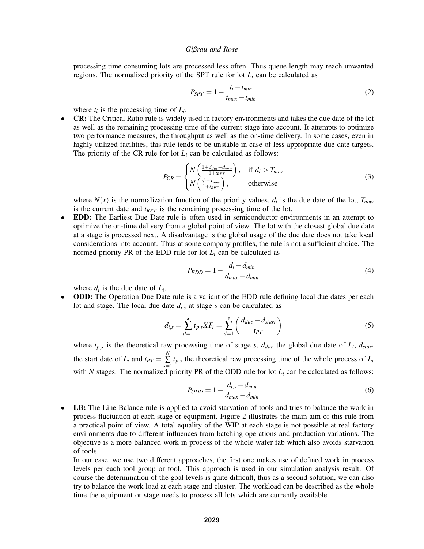processing time consuming lots are processed less often. Thus queue length may reach unwanted regions. The normalized priority of the SPT rule for lot *L<sup>i</sup>* can be calculated as

$$
P_{SPT} = 1 - \frac{t_i - t_{min}}{t_{max} - t_{min}}\tag{2}
$$

where  $t_i$  is the processing time of  $L_i$ .

• CR: The Critical Ratio rule is widely used in factory environments and takes the due date of the lot as well as the remaining processing time of the current stage into account. It attempts to optimize two performance measures, the throughput as well as the on-time delivery. In some cases, even in highly utilized facilities, this rule tends to be unstable in case of less appropriate due date targets. The priority of the CR rule for lot  $L_i$  can be calculated as follows:

$$
P_{CR} = \begin{cases} N\left(\frac{1+d_{due}-d_{now}}{1+t_{RPT}}\right), & \text{if } d_i > T_{now} \\ N\left(\frac{d_i-T_{now}}{1+t_{RPT}}\right), & \text{otherwise} \end{cases}
$$
(3)

where  $N(x)$  is the normalization function of the priority values,  $d_i$  is the due date of the lot,  $T_{now}$ is the current date and *tRPT* is the remaining processing time of the lot.

• EDD: The Earliest Due Date rule is often used in semiconductor environments in an attempt to optimize the on-time delivery from a global point of view. The lot with the closest global due date at a stage is processed next. A disadvantage is the global usage of the due date does not take local considerations into account. Thus at some company profiles, the rule is not a sufficient choice. The normed priority PR of the EDD rule for lot  $L_i$  can be calculated as

$$
P_{EDD} = 1 - \frac{d_i - d_{min}}{d_{max} - d_{min}}\tag{4}
$$

where  $d_i$  is the due date of  $L_i$ .

• ODD: The Operation Due Date rule is a variant of the EDD rule defining local due dates per each lot and stage. The local due date *di*,*<sup>s</sup>* at stage *s* can be calculated as

$$
d_{i,s} = \sum_{d=1}^{s} t_{p,s} X F_t = \sum_{d=1}^{s} \left( \frac{d_{due} - d_{start}}{t_{PT}} \right)
$$
 (5)

where  $t_{p,s}$  is the theoretical raw processing time of stage *s*,  $d_{due}$  the global due date of  $L_i$ ,  $d_{start}$ the start date of  $L_i$  and  $t_{PT} = \sum_{i=1}^{N}$  $\sum_{s=1} t_{p,s}$  the theoretical raw processing time of the whole process of  $L_i$ with *N* stages. The normalized priority PR of the ODD rule for lot *L<sup>i</sup>* can be calculated as follows:

$$
P_{ODD} = 1 - \frac{d_{i,s} - d_{min}}{d_{max} - d_{min}}\tag{6}
$$

LB: The Line Balance rule is applied to avoid starvation of tools and tries to balance the work in process fluctuation at each stage or equipment. Figure 2 illustrates the main aim of this rule from a practical point of view. A total equality of the WIP at each stage is not possible at real factory environments due to different influences from batching operations and production variations. The objective is a more balanced work in process of the whole wafer fab which also avoids starvation of tools.

In our case, we use two different approaches, the first one makes use of defined work in process levels per each tool group or tool. This approach is used in our simulation analysis result. Of course the determination of the goal levels is quite difficult, thus as a second solution, we can also try to balance the work load at each stage and cluster. The workload can be described as the whole time the equipment or stage needs to process all lots which are currently available.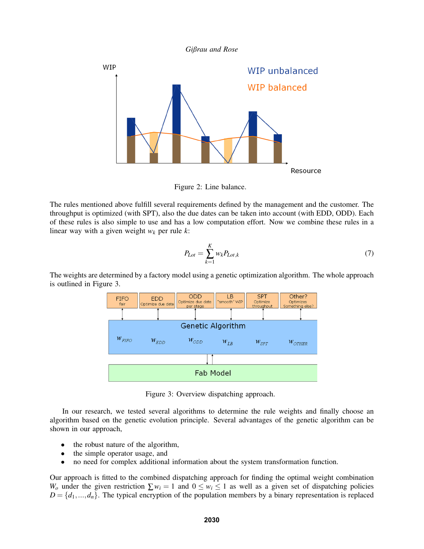



Figure 2: Line balance.

The rules mentioned above fulfill several requirements defined by the management and the customer. The throughput is optimized (with SPT), also the due dates can be taken into account (with EDD, ODD). Each of these rules is also simple to use and has a low computation effort. Now we combine these rules in a linear way with a given weight  $w_k$  per rule  $k$ :

$$
P_{Lot} = \sum_{k=1}^{K} w_k P_{Lot,k} \tag{7}
$$

The weights are determined by a factory model using a genetic optimization algorithm. The whole approach is outlined in Figure 3.



Figure 3: Overview dispatching approach.

In our research, we tested several algorithms to determine the rule weights and finally choose an algorithm based on the genetic evolution principle. Several advantages of the genetic algorithm can be shown in our approach,

- the robust nature of the algorithm,
- the simple operator usage, and
- no need for complex additional information about the system transformation function.

Our approach is fitted to the combined dispatching approach for finding the optimal weight combination *W<sub>o</sub>* under the given restriction  $\sum w_i = 1$  and  $0 \le w_i \le 1$  as well as a given set of dispatching policies  $D = \{d_1, ..., d_n\}$ . The typical encryption of the population members by a binary representation is replaced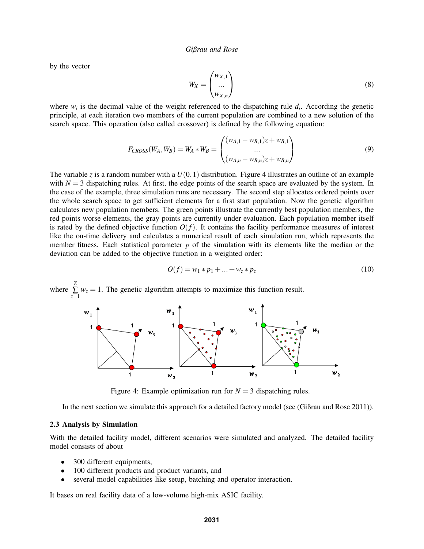by the vector

$$
W_X = \begin{pmatrix} w_{X,1} \\ \dots \\ w_{X,n} \end{pmatrix} \tag{8}
$$

where  $w_i$  is the decimal value of the weight referenced to the dispatching rule  $d_i$ . According the genetic principle, at each iteration two members of the current population are combined to a new solution of the search space. This operation (also called crossover) is defined by the following equation:

$$
F_{CROS}(W_A, W_B) = W_A * W_B = \begin{pmatrix} (w_{A,1} - w_{B,1})z + w_{B,1} \\ \dots \\ (w_{A,n} - w_{B,n})z + w_{B,n} \end{pmatrix}
$$
(9)

The variable *z* is a random number with a  $U(0,1)$  distribution. Figure 4 illustrates an outline of an example with  $N = 3$  dispatching rules. At first, the edge points of the search space are evaluated by the system. In the case of the example, three simulation runs are necessary. The second step allocates ordered points over the whole search space to get sufficient elements for a first start population. Now the genetic algorithm calculates new population members. The green points illustrate the currently best population members, the red points worse elements, the gray points are currently under evaluation. Each population member itself is rated by the defined objective function  $O(f)$ . It contains the facility performance measures of interest like the on-time delivery and calculates a numerical result of each simulation run, which represents the member fitness. Each statistical parameter *p* of the simulation with its elements like the median or the deviation can be added to the objective function in a weighted order:

$$
O(f) = w_1 * p_1 + \dots + w_z * p_z \tag{10}
$$

where 
$$
\sum_{z=1}^{Z} w_z = 1
$$
. The genetic algorithm attempts to maximize this function result.



Figure 4: Example optimization run for  $N = 3$  dispatching rules.

In the next section we simulate this approach for a detailed factory model (see (Gißrau and Rose 2011)).

#### 2.3 Analysis by Simulation

With the detailed facility model, different scenarios were simulated and analyzed. The detailed facility model consists of about

- 300 different equipments,
- 100 different products and product variants, and
- several model capabilities like setup, batching and operator interaction.

It bases on real facility data of a low-volume high-mix ASIC facility.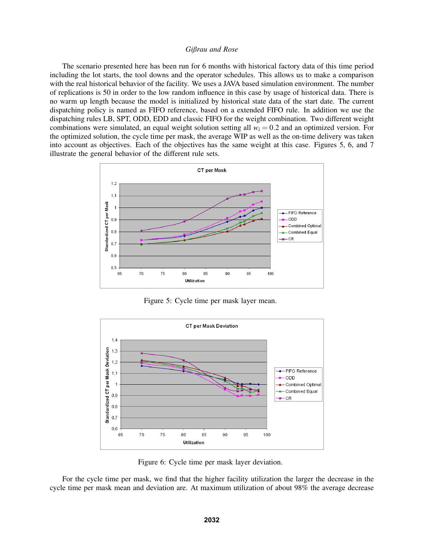The scenario presented here has been run for 6 months with historical factory data of this time period including the lot starts, the tool downs and the operator schedules. This allows us to make a comparison with the real historical behavior of the facility. We uses a JAVA based simulation environment. The number of replications is 50 in order to the low random influence in this case by usage of historical data. There is no warm up length because the model is initialized by historical state data of the start date. The current dispatching policy is named as FIFO reference, based on a extended FIFO rule. In addition we use the dispatching rules LB, SPT, ODD, EDD and classic FIFO for the weight combination. Two different weight combinations were simulated, an equal weight solution setting all  $w_i = 0.2$  and an optimized version. For the optimized solution, the cycle time per mask, the average WIP as well as the on-time delivery was taken into account as objectives. Each of the objectives has the same weight at this case. Figures 5, 6, and 7 illustrate the general behavior of the different rule sets.



Figure 5: Cycle time per mask layer mean.



Figure 6: Cycle time per mask layer deviation.

For the cycle time per mask, we find that the higher facility utilization the larger the decrease in the cycle time per mask mean and deviation are. At maximum utilization of about 98% the average decrease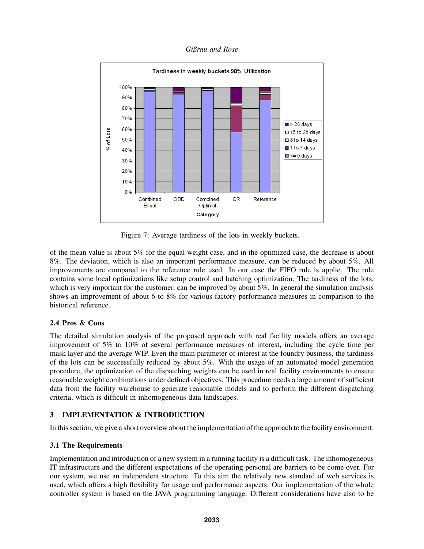*Gißrau and Rose*



Figure 7: Average tardiness of the lots in weekly buckets.

of the mean value is about 5% for the equal weight case, and in the optimized case, the decrease is about 8%. The deviation, which is also an important performance measure, can be reduced by about 5%. All improvements are compared to the reference rule used. In our case the FIFO rule is applie. The rule contains some local optimizations like setup control and batching optimization. The tardiness of the lots, which is very important for the customer, can be improved by about 5%. In general the simulation analysis shows an improvement of about 6 to 8% for various factory performance measures in comparison to the historical reference.

# 2.4 Pros & Cons

The detailed simulation analysis of the proposed approach with real facility models offers an average improvement of 5% to 10% of several performance measures of interest, including the cycle time per mask layer and the average WIP. Even the main parameter of interest at the foundry business, the tardiness of the lots can be successfully reduced by about 5%. With the usage of an automated model generation procedure, the optimization of the dispatching weights can be used in real facility environments to ensure reasonable weight combinations under defined objectives. This procedure needs a large amount of sufficient data from the facility warehouse to generate reasonable models and to perform the different dispatching criteria, which is difficult in inhomogeneous data landscapes.

# 3 IMPLEMENTATION & INTRODUCTION

In this section, we give a short overview about the implementation of the approach to the facility environment.

# 3.1 The Requirements

Implementation and introduction of a new system in a running facility is a difficult task. The inhomogeneous IT infrastructure and the different expectations of the operating personal are barriers to be come over. For our system, we use an independent structure. To this aim the relatively new standard of web services is used, which offers a high flexibility for usage and performance aspects. Our implementation of the whole controller system is based on the JAVA programming language. Different considerations have also to be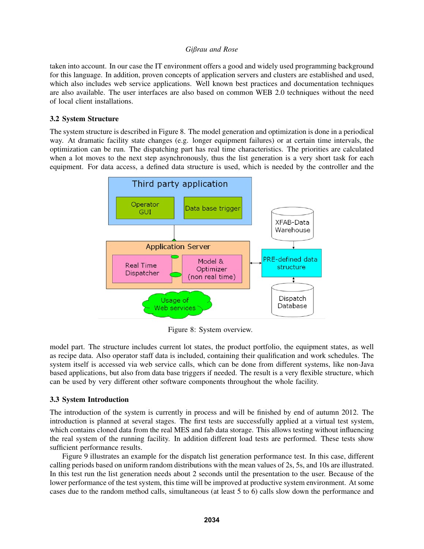taken into account. In our case the IT environment offers a good and widely used programming background for this language. In addition, proven concepts of application servers and clusters are established and used, which also includes web service applications. Well known best practices and documentation techniques are also available. The user interfaces are also based on common WEB 2.0 techniques without the need of local client installations.

# 3.2 System Structure

The system structure is described in Figure 8. The model generation and optimization is done in a periodical way. At dramatic facility state changes (e.g. longer equipment failures) or at certain time intervals, the optimization can be run. The dispatching part has real time characteristics. The priorities are calculated when a lot moves to the next step asynchronously, thus the list generation is a very short task for each equipment. For data access, a defined data structure is used, which is needed by the controller and the



Figure 8: System overview.

model part. The structure includes current lot states, the product portfolio, the equipment states, as well as recipe data. Also operator staff data is included, containing their qualification and work schedules. The system itself is accessed via web service calls, which can be done from different systems, like non-Java based applications, but also from data base triggers if needed. The result is a very flexible structure, which can be used by very different other software components throughout the whole facility.

# 3.3 System Introduction

The introduction of the system is currently in process and will be finished by end of autumn 2012. The introduction is planned at several stages. The first tests are successfully applied at a virtual test system, which contains cloned data from the real MES and fab data storage. This allows testing without influencing the real system of the running facility. In addition different load tests are performed. These tests show sufficient performance results.

Figure 9 illustrates an example for the dispatch list generation performance test. In this case, different calling periods based on uniform random distributions with the mean values of 2s, 5s, and 10s are illustrated. In this test run the list generation needs about 2 seconds until the presentation to the user. Because of the lower performance of the test system, this time will be improved at productive system environment. At some cases due to the random method calls, simultaneous (at least 5 to 6) calls slow down the performance and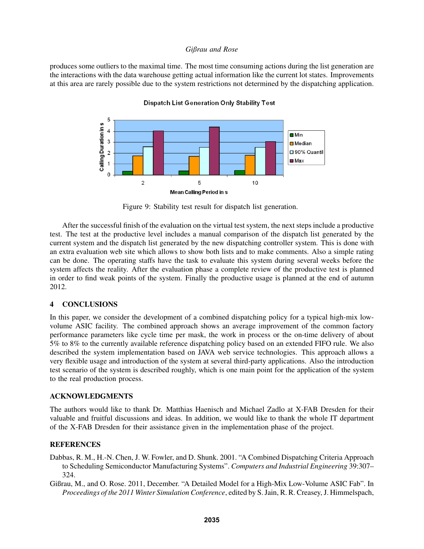produces some outliers to the maximal time. The most time consuming actions during the list generation are the interactions with the data warehouse getting actual information like the current lot states. Improvements at this area are rarely possible due to the system restrictions not determined by the dispatching application.



**Dispatch List Generation Only Stability Test** 

Figure 9: Stability test result for dispatch list generation.

After the successful finish of the evaluation on the virtual test system, the next steps include a productive test. The test at the productive level includes a manual comparison of the dispatch list generated by the current system and the dispatch list generated by the new dispatching controller system. This is done with an extra evaluation web site which allows to show both lists and to make comments. Also a simple rating can be done. The operating staffs have the task to evaluate this system during several weeks before the system affects the reality. After the evaluation phase a complete review of the productive test is planned in order to find weak points of the system. Finally the productive usage is planned at the end of autumn 2012.

### 4 CONCLUSIONS

In this paper, we consider the development of a combined dispatching policy for a typical high-mix lowvolume ASIC facility. The combined approach shows an average improvement of the common factory performance parameters like cycle time per mask, the work in process or the on-time delivery of about 5% to 8% to the currently available reference dispatching policy based on an extended FIFO rule. We also described the system implementation based on JAVA web service technologies. This approach allows a very flexible usage and introduction of the system at several third-party applications. Also the introduction test scenario of the system is described roughly, which is one main point for the application of the system to the real production process.

### ACKNOWLEDGMENTS

The authors would like to thank Dr. Matthias Haenisch and Michael Zadlo at X-FAB Dresden for their valuable and fruitful discussions and ideas. In addition, we would like to thank the whole IT department of the X-FAB Dresden for their assistance given in the implementation phase of the project.

# **REFERENCES**

Dabbas, R. M., H.-N. Chen, J. W. Fowler, and D. Shunk. 2001. "A Combined Dispatching Criteria Approach to Scheduling Semiconductor Manufacturing Systems". *Computers and Industrial Engineering* 39:307– 324.

Gißrau, M., and O. Rose. 2011, December. "A Detailed Model for a High-Mix Low-Volume ASIC Fab". In *Proceedings of the 2011 Winter Simulation Conference*, edited by S. Jain, R. R. Creasey, J. Himmelspach,